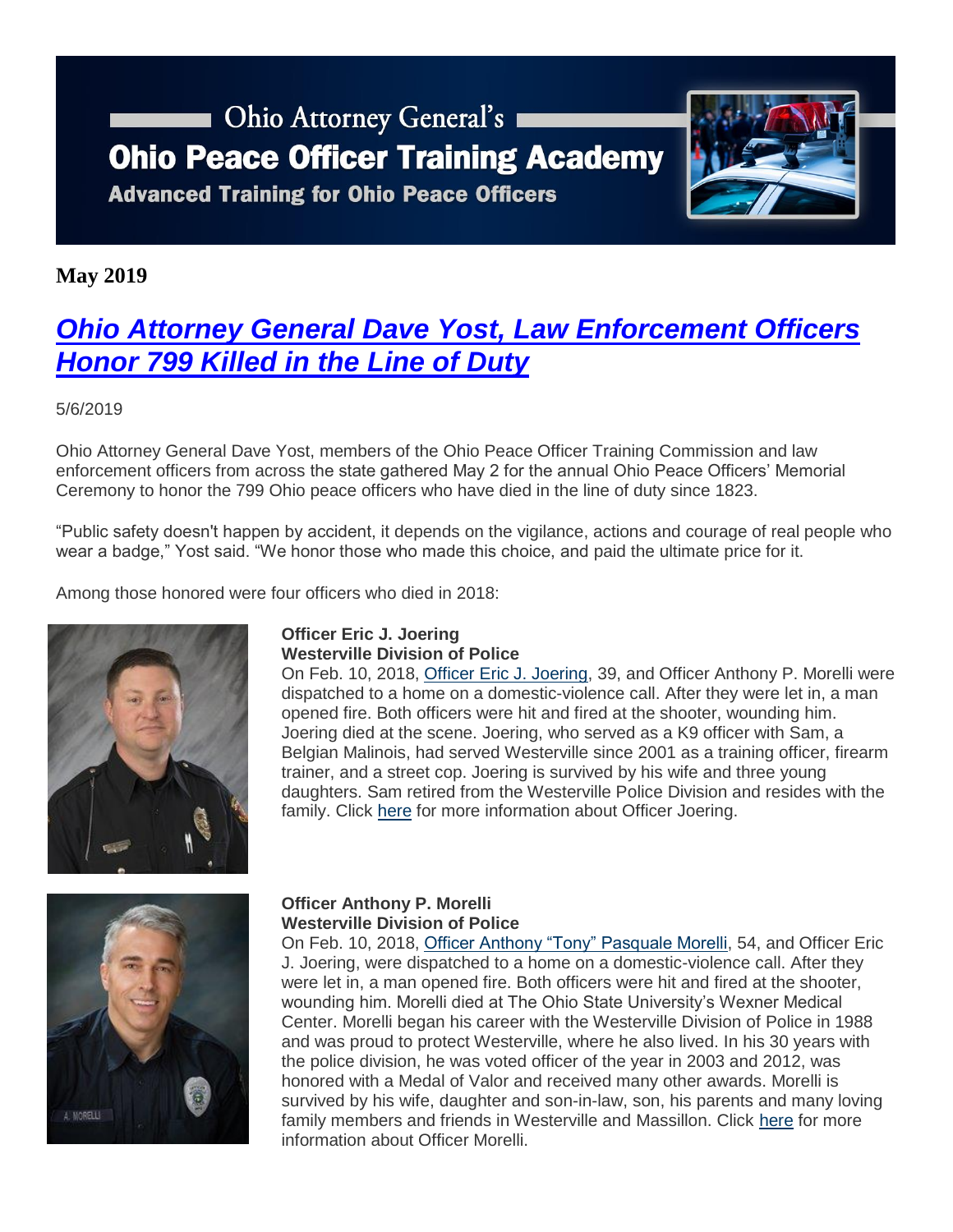# **COLOGITY COLOGITY** Ohio Attorney General's **Ohio Peace Officer Training Academy**

**Advanced Training for Ohio Peace Officers** 



### **May 2019**

## *[Ohio Attorney General Dave Yost, Law Enforcement Officers](https://www.ohioattorneygeneral.gov/Media/Newsletters/Ohio-Peace-Officer-Training-Academy-email-newslett/May-2019/Ohio-Attorney-General-Dave-Yost-Law-Enforcement-Of)  [Honor 799 Killed in the Line of Duty](https://www.ohioattorneygeneral.gov/Media/Newsletters/Ohio-Peace-Officer-Training-Academy-email-newslett/May-2019/Ohio-Attorney-General-Dave-Yost-Law-Enforcement-Of)*

#### 5/6/2019

Ohio Attorney General Dave Yost, members of the Ohio Peace Officer Training Commission and law enforcement officers from across the state gathered May 2 for the annual Ohio Peace Officers' Memorial Ceremony to honor the 799 Ohio peace officers who have died in the line of duty since 1823.

"Public safety doesn't happen by accident, it depends on the vigilance, actions and courage of real people who wear a badge," Yost said. "We honor those who made this choice, and paid the ultimate price for it.

Among those honored were four officers who died in 2018:



#### **Officer Eric J. Joering Westerville Division of Police**

On Feb. 10, 2018, [Officer Eric J. Joering,](https://www.ohioattorneygeneral.gov/Images/OPOTA/Eric-J-Joering.aspx) 39, and Officer Anthony P. Morelli were dispatched to a home on a domestic-violence call. After they were let in, a man opened fire. Both officers were hit and fired at the shooter, wounding him. Joering died at the scene. Joering, who served as a K9 officer with Sam, a Belgian Malinois, had served Westerville since 2001 as a training officer, firearm trainer, and a street cop. Joering is survived by his wife and three young daughters. Sam retired from the Westerville Police Division and resides with the family. Click [here](https://www.ohioattorneygeneral.gov/Files/Briefing-Room/News-Releases/OPOTA/2019-Memorial/2019-Memorial-Ceremony-Program-Joering.aspx) for more information about Officer Joering.



#### **Officer Anthony P. Morelli Westerville Division of Police**

On Feb. 10, 2018, [Officer Anthony "Tony" Pasquale Morelli,](https://www.ohioattorneygeneral.gov/Images/OPOTA/Anthony-P-Morelli.aspx) 54, and Officer Eric J. Joering, were dispatched to a home on a domestic-violence call. After they were let in, a man opened fire. Both officers were hit and fired at the shooter, wounding him. Morelli died at The Ohio State University's Wexner Medical Center. Morelli began his career with the Westerville Division of Police in 1988 and was proud to protect Westerville, where he also lived. In his 30 years with the police division, he was voted officer of the year in 2003 and 2012, was honored with a Medal of Valor and received many other awards. Morelli is survived by his wife, daughter and son-in-law, son, his parents and many loving family members and friends in Westerville and Massillon. Click [here](https://www.ohioattorneygeneral.gov/Files/Briefing-Room/News-Releases/OPOTA/2019-Memorial/2019-Memorial-Ceremony-Morelli.aspx) for more information about Officer Morelli.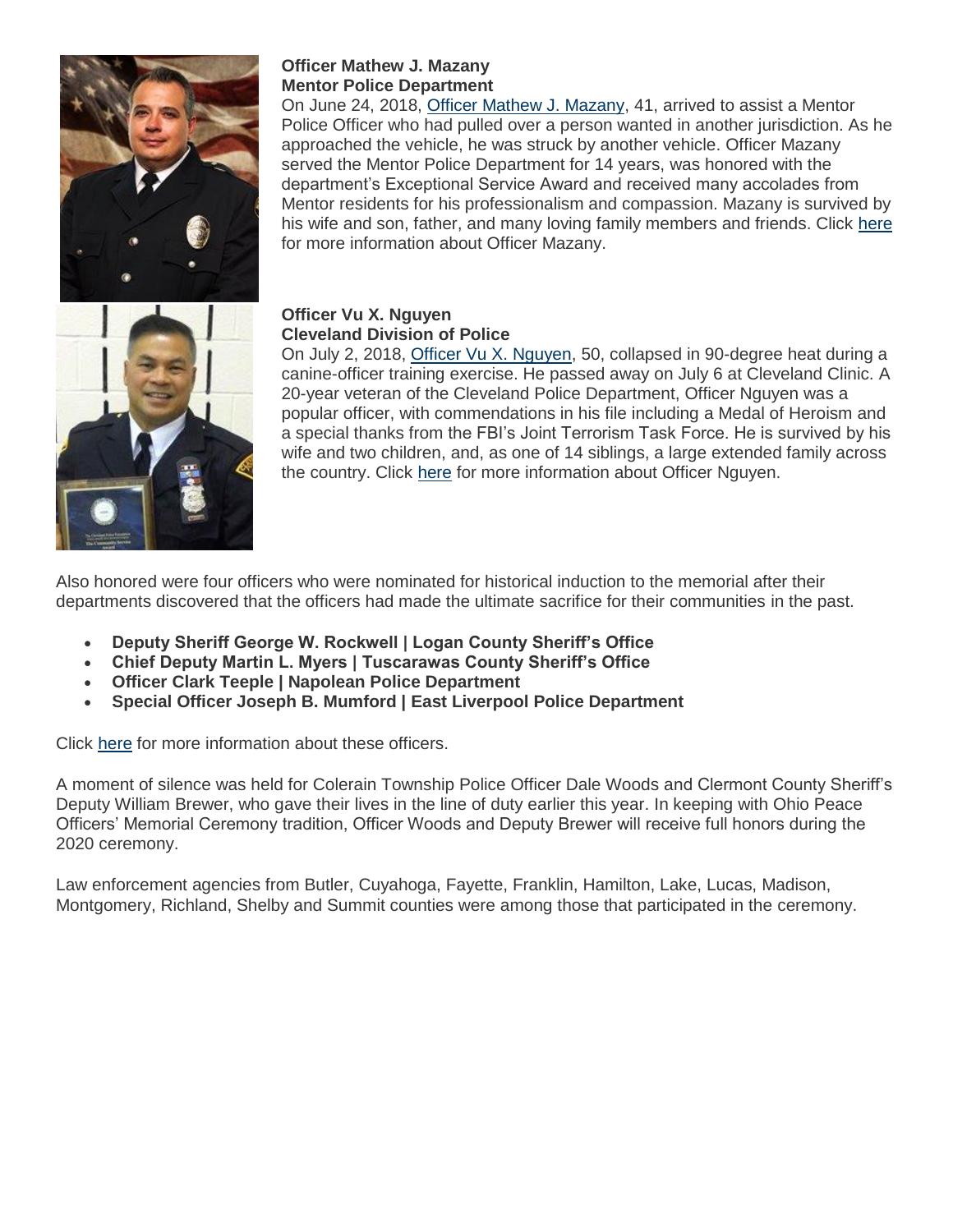

### **Officer Mathew J. Mazany Mentor Police Department**

On June 24, 2018, [Officer Mathew J. Mazany,](https://www.ohioattorneygeneral.gov/Images/OPOTA/Mathew-J-Mazany.aspx) 41, arrived to assist a Mentor Police Officer who had pulled over a person wanted in another jurisdiction. As he approached the vehicle, he was struck by another vehicle. Officer Mazany served the Mentor Police Department for 14 years, was honored with the department's Exceptional Service Award and received many accolades from Mentor residents for his professionalism and compassion. Mazany is survived by his wife and son, father, and many loving family members and friends. Click [here](https://www.ohioattorneygeneral.gov/Files/Briefing-Room/News-Releases/OPOTA/2019-Memorial/2019-Memorial-Ceremony-Mazany.aspx) for more information about Officer Mazany.



#### **Officer Vu X. Nguyen Cleveland Division of Police**

On July 2, 2018, [Officer Vu X. Nguyen,](https://www.ohioattorneygeneral.gov/Images/OPOTA/Vu-X-Nguyen.aspx) 50, collapsed in 90-degree heat during a canine-officer training exercise. He passed away on July 6 at Cleveland Clinic. A 20-year veteran of the Cleveland Police Department, Officer Nguyen was a popular officer, with commendations in his file including a Medal of Heroism and a special thanks from the FBI's Joint Terrorism Task Force. He is survived by his wife and two children, and, as one of 14 siblings, a large extended family across the country. Click [here](https://www.ohioattorneygeneral.gov/Files/Briefing-Room/News-Releases/OPOTA/2019-Memorial/2019-Memorial-Ceremony-Nguyen.aspx) for more information about Officer Nguyen.

Also honored were four officers who were nominated for historical induction to the memorial after their departments discovered that the officers had made the ultimate sacrifice for their communities in the past.

- **Deputy Sheriff George W. Rockwell | Logan County Sheriff's Office**
- **Chief Deputy Martin L. Myers | Tuscarawas County Sheriff's Office**
- **Officer Clark Teeple | Napolean Police Department**
- **Special Officer Joseph B. Mumford | East Liverpool Police Department**

Click [here](https://www.ohioattorneygeneral.gov/Files/Briefing-Room/News-Releases/OPOTA/2019-Memorial/2019-Memorial-Ceremony-Program-Historical.aspx) for more information about these officers.

A moment of silence was held for Colerain Township Police Officer Dale Woods and Clermont County Sheriff's Deputy William Brewer, who gave their lives in the line of duty earlier this year. In keeping with Ohio Peace Officers' Memorial Ceremony tradition, Officer Woods and Deputy Brewer will receive full honors during the 2020 ceremony.

Law enforcement agencies from Butler, Cuyahoga, Fayette, Franklin, Hamilton, Lake, Lucas, Madison, Montgomery, Richland, Shelby and Summit counties were among those that participated in the ceremony.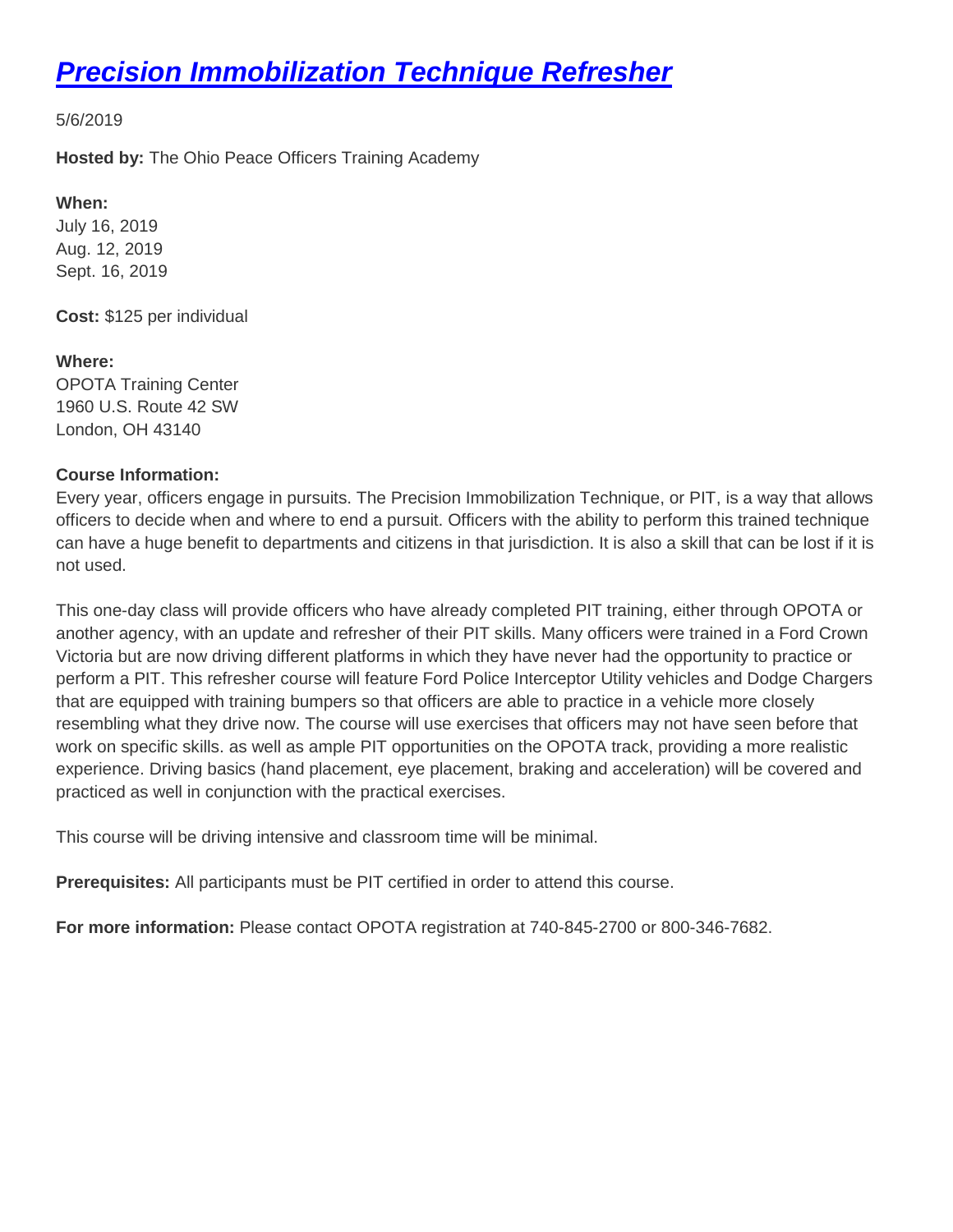# *[Precision Immobilization Technique Refresher](https://www.ohioattorneygeneral.gov/Media/Newsletters/Ohio-Peace-Officer-Training-Academy-email-newslett/May-2019/Precision-Immobilization-Technique-Refresher)*

5/6/2019

**Hosted by:** The Ohio Peace Officers Training Academy

**When:** July 16, 2019 Aug. 12, 2019 Sept. 16, 2019

**Cost:** \$125 per individual

**Where:** OPOTA Training Center 1960 U.S. Route 42 SW London, OH 43140

#### **Course Information:**

Every year, officers engage in pursuits. The Precision Immobilization Technique, or PIT, is a way that allows officers to decide when and where to end a pursuit. Officers with the ability to perform this trained technique can have a huge benefit to departments and citizens in that jurisdiction. It is also a skill that can be lost if it is not used.

This one-day class will provide officers who have already completed PIT training, either through OPOTA or another agency, with an update and refresher of their PIT skills. Many officers were trained in a Ford Crown Victoria but are now driving different platforms in which they have never had the opportunity to practice or perform a PIT. This refresher course will feature Ford Police Interceptor Utility vehicles and Dodge Chargers that are equipped with training bumpers so that officers are able to practice in a vehicle more closely resembling what they drive now. The course will use exercises that officers may not have seen before that work on specific skills, as well as ample PIT opportunities on the OPOTA track, providing a more realistic experience. Driving basics (hand placement, eye placement, braking and acceleration) will be covered and practiced as well in conjunction with the practical exercises.

This course will be driving intensive and classroom time will be minimal.

**Prerequisites:** All participants must be PIT certified in order to attend this course.

**For more information:** Please contact OPOTA registration at 740-845-2700 or 800-346-7682.